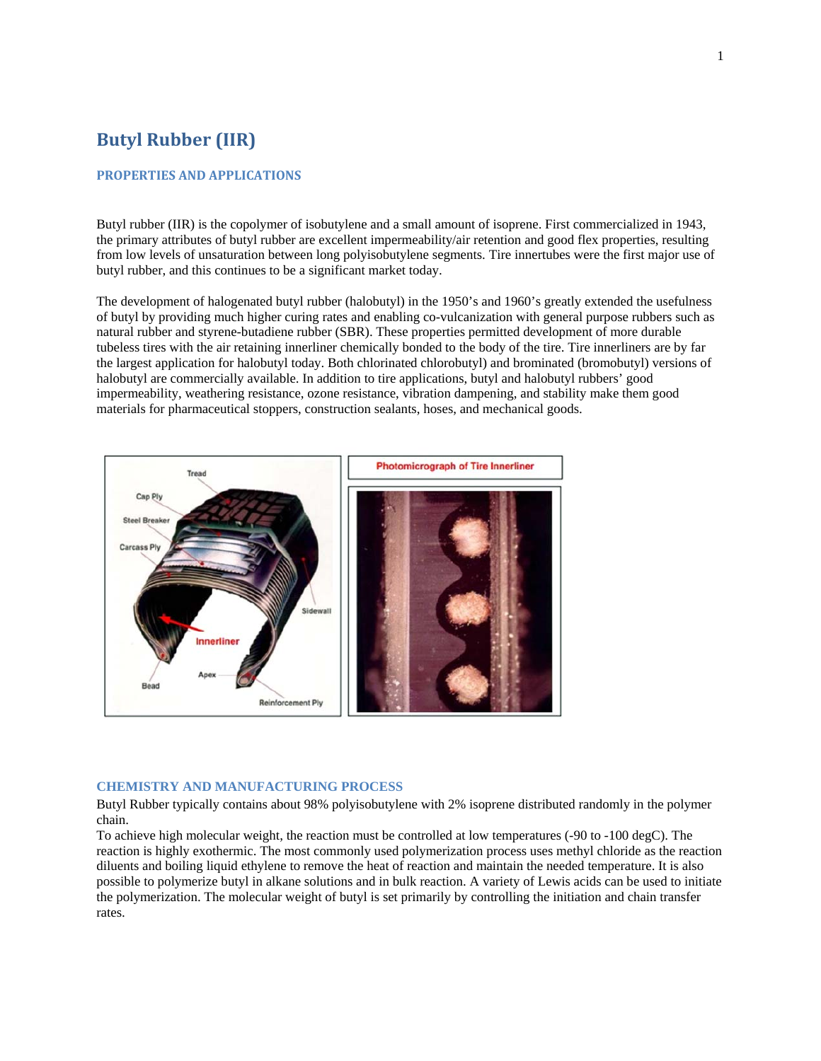# **Butyl Rubber (IIR)**

### **PROPERTIES AND APPLICATIONS**

Butyl rubber (IIR) is the copolymer of isobutylene and a small amount of isoprene. First commercialized in 1943, the primary attributes of butyl rubber are excellent impermeability/air retention and good flex properties, resulting from low levels of unsaturation between long polyisobutylene segments. Tire innertubes were the first major use of butyl rubber, and this continues to be a significant market today.

The development of halogenated butyl rubber (halobutyl) in the 1950's and 1960's greatly extended the usefulness of butyl by providing much higher curing rates and enabling co-vulcanization with general purpose rubbers such as natural rubber and styrene-butadiene rubber (SBR). These properties permitted development of more durable tubeless tires with the air retaining innerliner chemically bonded to the body of the tire. Tire innerliners are by far the largest application for halobutyl today. Both chlorinated chlorobutyl) and brominated (bromobutyl) versions of halobutyl are commercially available. In addition to tire applications, butyl and halobutyl rubbers' good impermeability, weathering resistance, ozone resistance, vibration dampening, and stability make them good materials for pharmaceutical stoppers, construction sealants, hoses, and mechanical goods.



## **CHEMISTRY AND MANUFACTURING PROCESS**

Butyl Rubber typically contains about 98% polyisobutylene with 2% isoprene distributed randomly in the polymer chain.

To achieve high molecular weight, the reaction must be controlled at low temperatures (-90 to -100 degC). The reaction is highly exothermic. The most commonly used polymerization process uses methyl chloride as the reaction diluents and boiling liquid ethylene to remove the heat of reaction and maintain the needed temperature. It is also possible to polymerize butyl in alkane solutions and in bulk reaction. A variety of Lewis acids can be used to initiate the polymerization. The molecular weight of butyl is set primarily by controlling the initiation and chain transfer rates.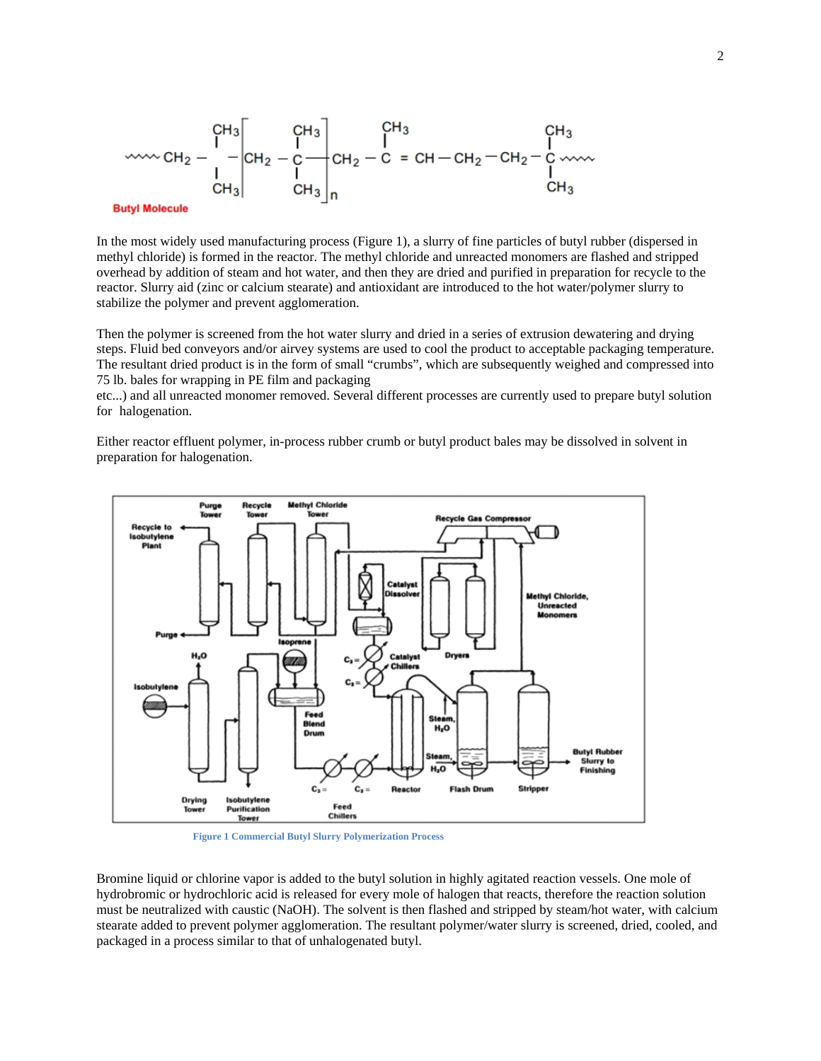

#### **Butyl Molecule**

In the most widely used manufacturing process (Figure 1), a slurry of fine particles of butyl rubber (dispersed in methyl chloride) is formed in the reactor. The methyl chloride and unreacted monomers are flashed and stripped overhead by addition of steam and hot water, and then they are dried and purified in preparation for recycle to the reactor. Slurry aid (zinc or calcium stearate) and antioxidant are introduced to the hot water/polymer slurry to stabilize the polymer and prevent agglomeration.

Then the polymer is screened from the hot water slurry and dried in a series of extrusion dewatering and drying steps. Fluid bed conveyors and/or airvey systems are used to cool the product to acceptable packaging temperature. The resultant dried product is in the form of small "crumbs", which are subsequently weighed and compressed into 75 lb. bales for wrapping in PE film and packaging

etc...) and all unreacted monomer removed. Several different processes are currently used to prepare butyl solution for halogenation.

Either reactor effluent polymer, in-process rubber crumb or butyl product bales may be dissolved in solvent in preparation for halogenation.



**Figure 1 Commercial Butyl Slurry Polymerization Process** 

Bromine liquid or chlorine vapor is added to the butyl solution in highly agitated reaction vessels. One mole of hydrobromic or hydrochloric acid is released for every mole of halogen that reacts, therefore the reaction solution must be neutralized with caustic (NaOH). The solvent is then flashed and stripped by steam/hot water, with calcium stearate added to prevent polymer agglomeration. The resultant polymer/water slurry is screened, dried, cooled, and packaged in a process similar to that of unhalogenated butyl.